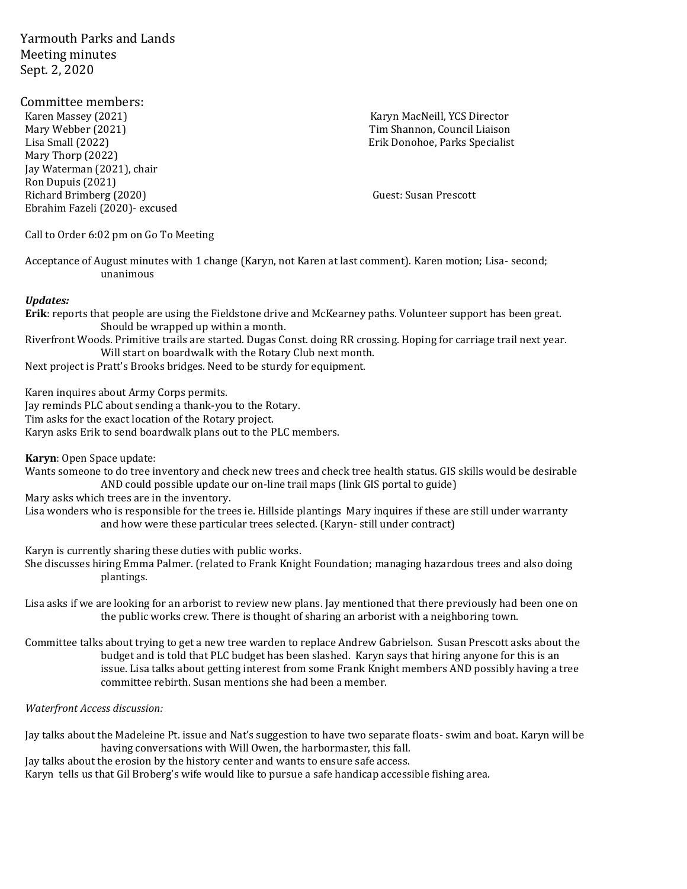Yarmouth Parks and Lands Meeting minutes Sept. 2, 2020

Committee members: Karen Massey (2021) Karyn MacNeill, YCS Director Mary Webber (2021) Tim Shannon, Council Liaison Lisa Small (2022) Erik Donohoe, Parks Specialist Mary Thorp (2022) Jay Waterman (2021), chair Ron Dupuis (2021) Richard Brimberg (2020) Guest: Susan Prescott Ebrahim Fazeli (2020)- excused

Call to Order 6:02 pm on Go To Meeting

Acceptance of August minutes with 1 change (Karyn, not Karen at last comment). Karen motion; Lisa- second; unanimous

## *Updates:*

**Erik**: reports that people are using the Fieldstone drive and McKearney paths. Volunteer support has been great. Should be wrapped up within a month.

Riverfront Woods. Primitive trails are started. Dugas Const. doing RR crossing. Hoping for carriage trail next year. Will start on boardwalk with the Rotary Club next month.

Next project is Pratt's Brooks bridges. Need to be sturdy for equipment.

Karen inquires about Army Corps permits.

Jay reminds PLC about sending a thank-you to the Rotary.

Tim asks for the exact location of the Rotary project.

Karyn asks Erik to send boardwalk plans out to the PLC members.

**Karyn**: Open Space update:

Wants someone to do tree inventory and check new trees and check tree health status. GIS skills would be desirable AND could possible update our on-line trail maps (link GIS portal to guide)

Mary asks which trees are in the inventory.

Lisa wonders who is responsible for the trees ie. Hillside plantings Mary inquires if these are still under warranty and how were these particular trees selected. (Karyn- still under contract)

Karyn is currently sharing these duties with public works.

She discusses hiring Emma Palmer. (related to Frank Knight Foundation; managing hazardous trees and also doing plantings.

Lisa asks if we are looking for an arborist to review new plans. Jay mentioned that there previously had been one on the public works crew. There is thought of sharing an arborist with a neighboring town.

Committee talks about trying to get a new tree warden to replace Andrew Gabrielson. Susan Prescott asks about the budget and is told that PLC budget has been slashed. Karyn says that hiring anyone for this is an issue. Lisa talks about getting interest from some Frank Knight members AND possibly having a tree committee rebirth. Susan mentions she had been a member.

*Waterfront Access discussion:* 

Jay talks about the Madeleine Pt. issue and Nat's suggestion to have two separate floats- swim and boat. Karyn will be having conversations with Will Owen, the harbormaster, this fall.

Jay talks about the erosion by the history center and wants to ensure safe access.

Karyn tells us that Gil Broberg's wife would like to pursue a safe handicap accessible fishing area.